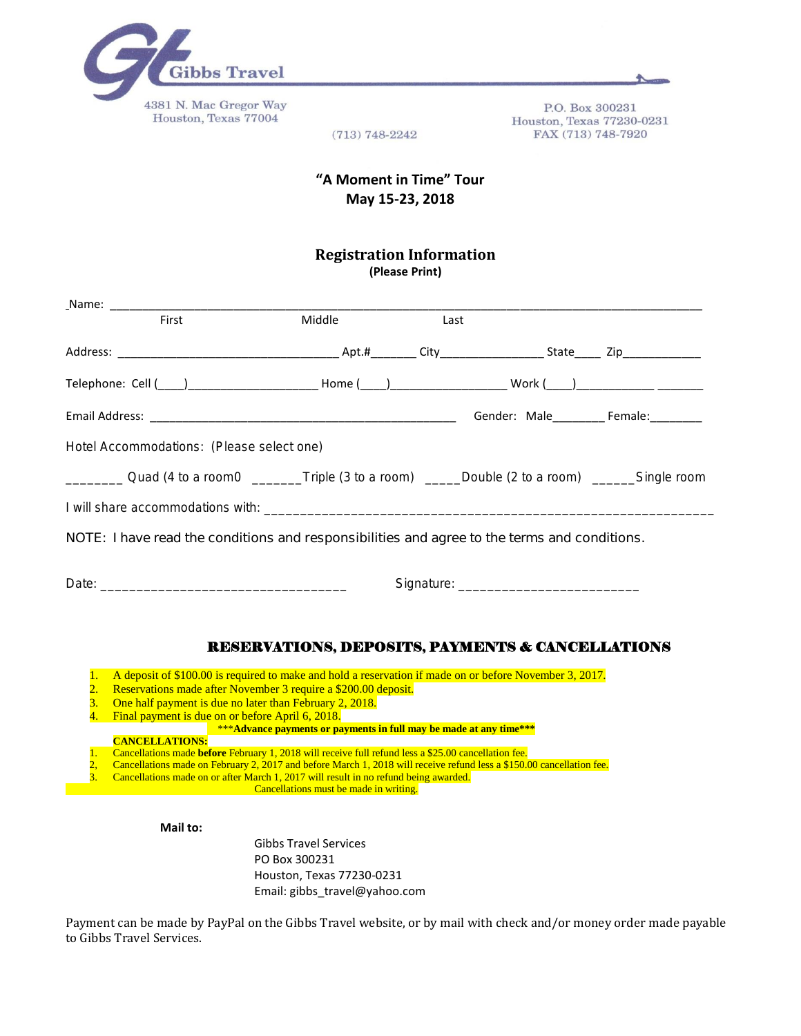

P.O. Box 300231 Houston, Texas 77230-0231 FAX (713) 748-7920

 $(713) 748 - 2242$ 

## **"A Moment in Time" Tour May 15-23, 2018**

## **Registration Information (Please Print)**

| First                                                                                                                                                                                                                                                                                                                                                    | Middle                                                      | Last |                                       |
|----------------------------------------------------------------------------------------------------------------------------------------------------------------------------------------------------------------------------------------------------------------------------------------------------------------------------------------------------------|-------------------------------------------------------------|------|---------------------------------------|
|                                                                                                                                                                                                                                                                                                                                                          |                                                             |      |                                       |
|                                                                                                                                                                                                                                                                                                                                                          |                                                             |      |                                       |
|                                                                                                                                                                                                                                                                                                                                                          |                                                             |      | Gender: Male_________ Female:________ |
| Hotel Accommodations: (Please select one)                                                                                                                                                                                                                                                                                                                |                                                             |      |                                       |
| _____________ Quad (4 to a room0 ___________Triple (3 to a room) _______Double (2 to a room) ________Single room                                                                                                                                                                                                                                         |                                                             |      |                                       |
|                                                                                                                                                                                                                                                                                                                                                          |                                                             |      |                                       |
| NOTE: I have read the conditions and responsibilities and agree to the terms and conditions.                                                                                                                                                                                                                                                             |                                                             |      |                                       |
|                                                                                                                                                                                                                                                                                                                                                          |                                                             |      |                                       |
|                                                                                                                                                                                                                                                                                                                                                          | <b>RESERVATIONS, DEPOSITS, PAYMENTS &amp; CANCELLATIONS</b> |      |                                       |
| A deposit of \$100.00 is required to make and hold a reservation if made on or before November 3, 2017.<br>$\mathbf{1}$ .<br>Reservations made after November 3 require a \$200.00 deposit.<br>$\overline{2}$ .<br>One half payment is due no later than February 2, 2018.<br>$\overline{3}$ .<br>4.<br>Final payment is due on or before April 6, 2018. |                                                             |      |                                       |

**CANCELLATIONS:**

1. Cancellations made **before** February 1, 2018 will receive full refund less a \$25.00 cancellation fee.

- 2, Cancellations made on February 2, 2017 and before March 1, 2018 will receive refund less a \$150.00 cancellation fee.
- 3. Cancellations made on or after March 1, 2017 will result in no refund being awarded.

Cancellations must be made in writing.

**Mail to:** 

Gibbs Travel Services PO Box 300231 Houston, Texas 77230-0231 Email: gibbs\_travel@yahoo.com

Payment can be made by PayPal on the Gibbs Travel website, or by mail with check and/or money order made payable to Gibbs Travel Services.